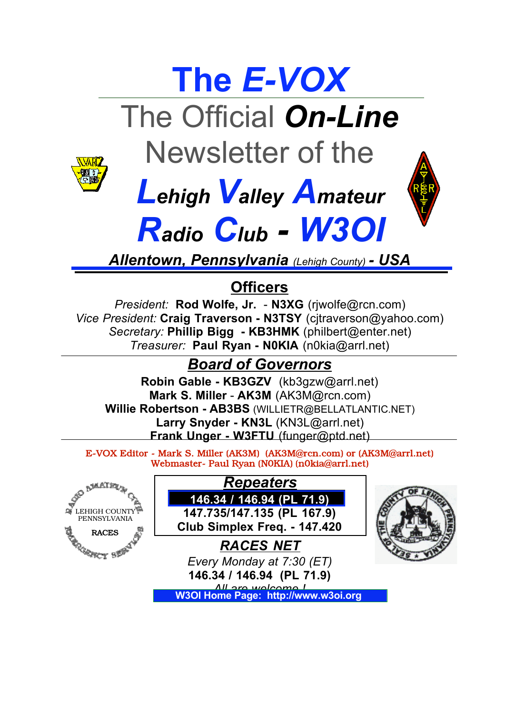# **The** *E-VOX* The Official *On-Line* Newsletter of the



# *LehighValley Amateur*



*Radio Club - W3OI Allentown, Pennsylvania (Lehigh County) - USA*

### **Officers**

*President:* **Rod Wolfe, Jr.** - **N3XG** (rjwolfe@rcn.com) *Vice President:* **Craig Traverson - N3TSY** (cjtraverson@yahoo.com) *Secretary:* **Phillip Bigg - KB3HMK** (philbert@enter.net) *Treasurer:* **Paul Ryan - N0KIA** (n0kia@arrl.net)

### *Board of Governors*

**Robin Gable - KB3GZV** (kb3gzw@arrl.net) **Mark S. Miller** - **AK3M** (AK3M@rcn.com) **Willie Robertson - AB3BS** (WILLIETR@BELLATLANTIC.NET) Larry Snyder - KN3L (KN3L@arrl.net) **Frank Unger - W3FTU** (funger@ptd.net)

E-VOX Editor - Mark S. Miller (AK3M) (AK3M@rcn.com) or (AK3M@arrl.net) Webmaster- Paul Ryan (N0KIA) (n0kia@arrl.net)

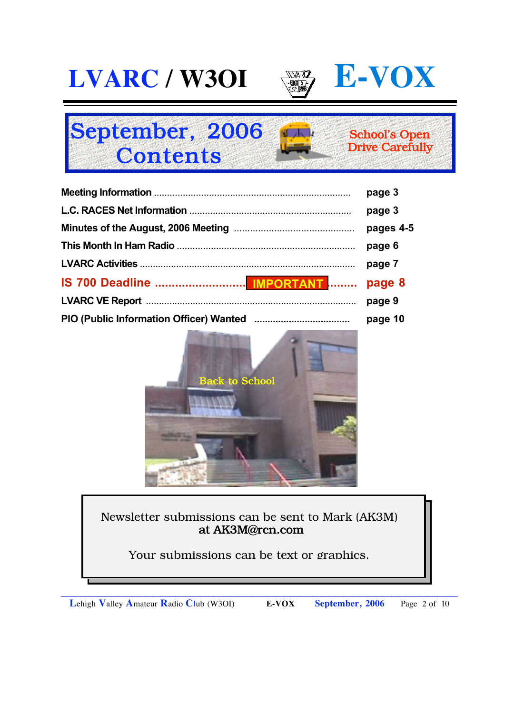

#### September, 2006 **Contents** School's Open Drive Carefully

|                            | page 3    |
|----------------------------|-----------|
|                            | page 3    |
|                            | pages 4-5 |
|                            | page 6    |
|                            | page 7    |
| IS 700 Deadline  IMPORTANT | page 8    |
|                            | page 9    |
|                            | page 10   |



#### Newsletter submissions can be sent to Mark (AK3M) at AK3M@rcn.com

Your submissions can be text or graphics.

\_\_\_\_\_\_\_\_\_\_\_\_\_\_\_\_\_\_\_\_\_\_\_\_\_\_\_\_\_\_\_\_\_\_\_\_\_\_\_\_\_\_\_\_\_\_\_\_\_\_\_\_\_\_\_\_\_\_\_\_\_\_\_\_\_\_\_\_\_\_\_\_\_\_\_\_\_\_\_\_\_\_\_\_\_\_\_\_\_\_\_\_\_\_\_\_\_\_\_\_\_\_\_\_\_\_\_\_\_\_\_\_\_\_\_\_\_\_\_\_\_\_\_\_\_\_\_\_\_\_\_\_\_\_\_\_\_\_\_\_\_\_\_\_\_\_\_\_\_\_\_\_\_\_\_\_

**L**ehigh **V**alley **A**mateur **R**adio **C**lub (W3OI) **E-VOX September, 2006** Page 2 of 10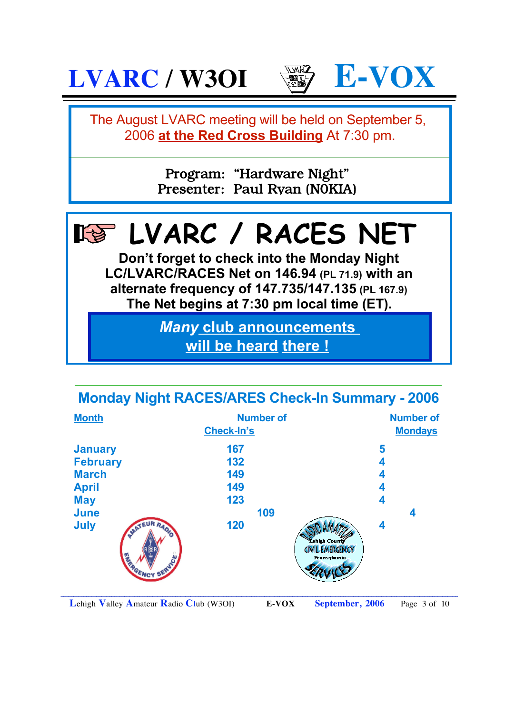

### **Monday Night RACES/ARES Check-In Summary - 2006**

| <b>Month</b>                               | <b>Number of</b><br><b>Check-In's</b> |                                                                |   | <b>Number of</b><br><b>Mondays</b> |  |
|--------------------------------------------|---------------------------------------|----------------------------------------------------------------|---|------------------------------------|--|
| <b>January</b>                             | 167                                   |                                                                | 5 |                                    |  |
| <b>February</b>                            | 132                                   |                                                                | 4 |                                    |  |
| <b>March</b>                               | 149                                   |                                                                | 4 |                                    |  |
| <b>April</b>                               | 149                                   |                                                                | 4 |                                    |  |
| <b>May</b>                                 | 123                                   |                                                                | 4 |                                    |  |
| <b>June</b>                                | 109                                   |                                                                |   | 4                                  |  |
| <b>July</b><br><b>JATEUR RAOIO</b><br>AVER | 120                                   | Lehigh County<br><b>CIVIL EMERGENCY</b><br><b>Pennsylvania</b> | 4 |                                    |  |

\_\_\_\_\_\_\_\_\_\_\_\_\_\_\_\_\_\_\_\_\_\_\_\_\_\_\_\_\_\_\_\_\_\_\_\_\_\_\_\_\_\_\_\_\_\_\_\_\_\_\_\_\_\_\_\_\_\_\_\_\_\_\_\_\_\_\_\_\_\_\_\_\_\_\_\_\_\_\_\_\_\_\_\_\_\_\_\_\_\_\_\_\_\_\_\_\_\_\_\_\_\_\_\_\_\_\_\_\_\_\_\_\_\_\_\_\_\_\_\_\_\_\_\_\_\_\_\_\_\_\_\_\_\_\_\_\_\_\_\_\_\_\_\_\_\_\_\_\_\_\_\_\_\_\_\_

**L**ehigh **V**alley **A**mateur **R**adio **C**lub (W3OI) **E-VOX September, 2006** Page 3 of 10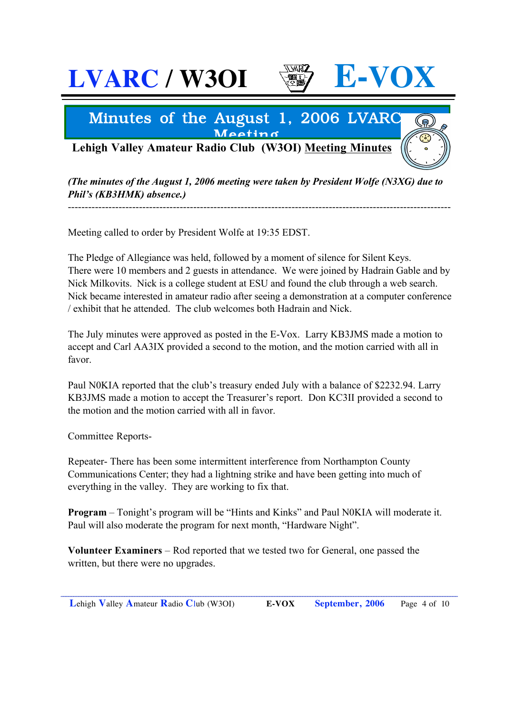### $LVARC$  / **W3OI**  $\qquad$   $\qquad$   $\qquad$   $\qquad$   $\qquad$   $\qquad$   $L-VO$

### Minutes of the August 1, 2006 LVARC Meeting

**Lehigh Valley Amateur Radio Club (W3OI) Meeting Minutes**

*(The minutes of the August 1, 2006 meeting were taken by President Wolfe (N3XG) due to Phil's (KB3HMK) absence.)*

-----------------------------------------------------------------------------------------------------------------

Meeting called to order by President Wolfe at 19:35 EDST.

The Pledge of Allegiance was held, followed by a moment of silence for Silent Keys. There were 10 members and 2 guests in attendance. We were joined by Hadrain Gable and by Nick Milkovits. Nick is a college student at ESU and found the club through a web search. Nick became interested in amateur radio after seeing a demonstration at a computer conference / exhibit that he attended. The club welcomes both Hadrain and Nick.

The July minutes were approved as posted in the E-Vox. Larry KB3JMS made a motion to accept and Carl AA3IX provided a second to the motion, and the motion carried with all in favor.

Paul N0KIA reported that the club's treasury ended July with a balance of \$2232.94. Larry KB3JMS made a motion to accept the Treasurer's report. Don KC3II provided a second to the motion and the motion carried with all in favor.

Committee Reports-

Repeater- There has been some intermittent interference from Northampton County Communications Center; they had a lightning strike and have been getting into much of everything in the valley. They are working to fix that.

**Program** – Tonight's program will be "Hints and Kinks" and Paul N0KIA will moderate it. Paul will also moderate the program for next month, "Hardware Night".

**Volunteer Examiners** – Rod reported that we tested two for General, one passed the written, but there were no upgrades.

\_\_\_\_\_\_\_\_\_\_\_\_\_\_\_\_\_\_\_\_\_\_\_\_\_\_\_\_\_\_\_\_\_\_\_\_\_\_\_\_\_\_\_\_\_\_\_\_\_\_\_\_\_\_\_\_\_\_\_\_\_\_\_\_\_\_\_\_\_\_\_\_\_\_\_\_\_\_\_\_\_\_\_\_\_\_\_\_\_\_\_\_\_\_\_\_\_\_\_\_\_\_\_\_\_\_\_\_\_\_\_\_\_\_\_\_\_\_\_\_\_\_\_\_\_\_\_\_\_\_\_\_\_\_\_\_\_\_\_\_\_\_\_\_\_\_\_\_\_\_\_\_\_\_\_\_ **L**ehigh **V**alley **A**mateur **R**adio **C**lub (W3OI) **E-VOX September, 2006** Page 4 of 10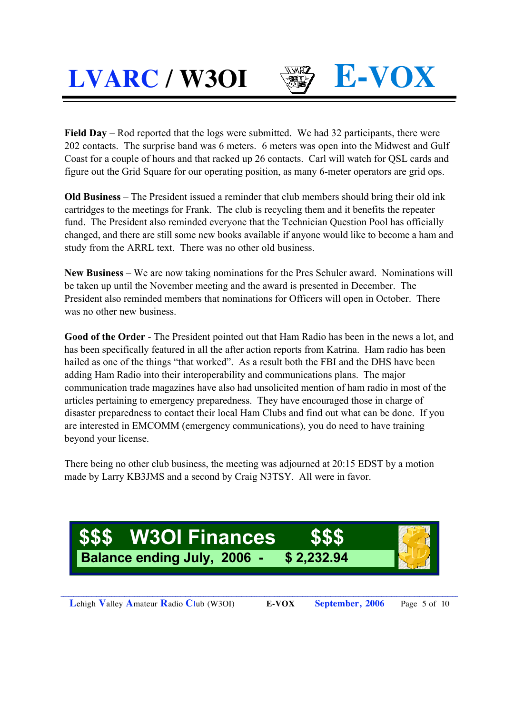**Field Day** – Rod reported that the logs were submitted. We had 32 participants, there were 202 contacts. The surprise band was 6 meters. 6 meters was open into the Midwest and Gulf Coast for a couple of hours and that racked up 26 contacts. Carl will watch for QSL cards and figure out the Grid Square for our operating position, as many 6-meter operators are grid ops.

**Old Business** – The President issued a reminder that club members should bring their old ink cartridges to the meetings for Frank. The club is recycling them and it benefits the repeater fund. The President also reminded everyone that the Technician Question Pool has officially changed, and there are still some new books available if anyone would like to become a ham and study from the ARRL text. There was no other old business.

**New Business** – We are now taking nominations for the Pres Schuler award. Nominations will be taken up until the November meeting and the award is presented in December. The President also reminded members that nominations for Officers will open in October. There was no other new business.

**Good of the Order** - The President pointed out that Ham Radio has been in the news a lot, and has been specifically featured in all the after action reports from Katrina. Ham radio has been hailed as one of the things "that worked". As a result both the FBI and the DHS have been adding Ham Radio into their interoperability and communications plans. The major communication trade magazines have also had unsolicited mention of ham radio in most of the articles pertaining to emergency preparedness. They have encouraged those in charge of disaster preparedness to contact their local Ham Clubs and find out what can be done. If you are interested in EMCOMM (emergency communications), you do need to have training beyond your license.

There being no other club business, the meeting was adjourned at 20:15 EDST by a motion made by Larry KB3JMS and a second by Craig N3TSY. All were in favor.



\_\_\_\_\_\_\_\_\_\_\_\_\_\_\_\_\_\_\_\_\_\_\_\_\_\_\_\_\_\_\_\_\_\_\_\_\_\_\_\_\_\_\_\_\_\_\_\_\_\_\_\_\_\_\_\_\_\_\_\_\_\_\_\_\_\_\_\_\_\_\_\_\_\_\_\_\_\_\_\_\_\_\_\_\_\_\_\_\_\_\_\_\_\_\_\_\_\_\_\_\_\_\_\_\_\_\_\_\_\_\_\_\_\_\_\_\_\_\_\_\_\_\_\_\_\_\_\_\_\_\_\_\_\_\_\_\_\_\_\_\_\_\_\_\_\_\_\_\_\_\_\_\_\_\_\_ **L**ehigh **V**alley **A**mateur **R**adio **C**lub (W3OI) **E-VOX September, 2006** Page 5 of 10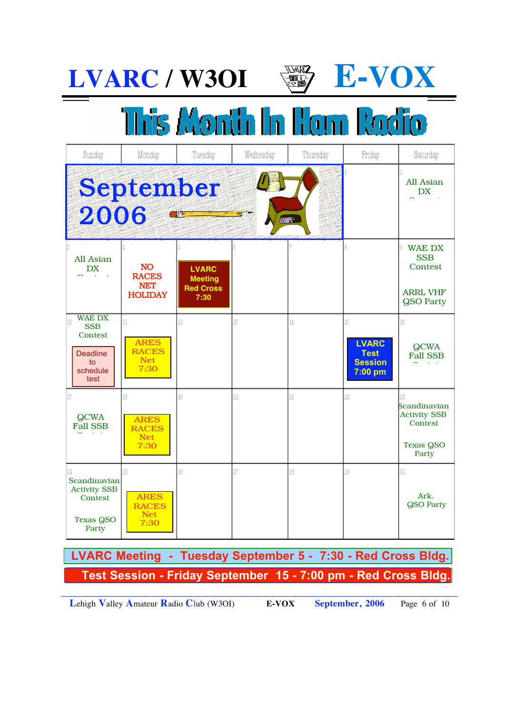

# This Month In Hom Radio

| Sunday                                                                                    | Monday                                                    | Tuesday                                                    | Wednesday | Thursday                                                                                                                                                                                                                          | Friday                                                           | Saturday                                                                      |
|-------------------------------------------------------------------------------------------|-----------------------------------------------------------|------------------------------------------------------------|-----------|-----------------------------------------------------------------------------------------------------------------------------------------------------------------------------------------------------------------------------------|------------------------------------------------------------------|-------------------------------------------------------------------------------|
| 2006                                                                                      | <b>September</b><br><b>OIT</b>                            |                                                            |           | e de la provincia de la provincia de la provincia de la provincia de la provincia de la provincia de la provincia de la provincia de la provincia de la provincia de la provincia de<br>De la provincia de la provincia de la pro |                                                                  | All Asian<br><b>DX</b>                                                        |
| All Asian<br><b>DX</b>                                                                    | <b>NO</b><br><b>RACES</b><br><b>NET</b><br><b>HOLIDAY</b> | <b>LVARC</b><br><b>Meeting</b><br><b>Red Cross</b><br>7:30 |           |                                                                                                                                                                                                                                   |                                                                  | <b>WAE DX</b><br><b>SSB</b><br>Contest<br><b>ARRL VHF</b><br><b>QSO Party</b> |
| <b>WAE DX</b><br>10<br><b>SSB</b><br>Contest<br><b>Deadline</b><br>to<br>schedule<br>test | 11<br><b>ARES</b><br><b>RACES</b><br>Net<br>7:30          | 12                                                         | 13        | 14                                                                                                                                                                                                                                | 15<br><b>LVARC</b><br><b>Test</b><br><b>Session</b><br>$7:00$ pm | 16<br><b>QCWA</b><br><b>Fall SSB</b>                                          |
| 17<br><b>QCWA</b><br><b>Fall SSB</b>                                                      | 18<br><b>ARES</b><br><b>RACES</b><br><b>Net</b><br>7:30   | 19                                                         | 20        | $^{21}$                                                                                                                                                                                                                           | 22                                                               | Scandinavian<br><b>Activity SSB</b><br>Contest<br><b>Texas QSO</b><br>Party   |
| 24<br>Scandinavian<br><b>Activity SSB</b><br>Contest<br><b>Texas QSO</b><br>Party         | 26<br><b>ARES</b><br><b>RACES</b><br><b>Net</b><br>7:30   | 26                                                         | 27        | 28                                                                                                                                                                                                                                | 29                                                               | 3Ď<br>Ark.<br><b>QSO Party</b>                                                |

 **Test Session - Friday September 15 - 7:00 pm - Red Cross Bldg. LVARC Meeting - Tuesday September 5 - 7:30 - Red Cross Bldg.** 

**L**ehigh **V**alley **A**mateur **R**adio **C**lub (W3OI) **E-VOX September, 2006** Page 6 of 10

\_\_\_\_\_\_\_\_\_\_\_\_\_\_\_\_\_\_\_\_\_\_\_\_\_\_\_\_\_\_\_\_\_\_\_\_\_\_\_\_\_\_\_\_\_\_\_\_\_\_\_\_\_\_\_\_\_\_\_\_\_\_\_\_\_\_\_\_\_\_\_\_\_\_\_\_\_\_\_\_\_\_\_\_\_\_\_\_\_\_\_\_\_\_\_\_\_\_\_\_\_\_\_\_\_\_\_\_\_\_\_\_\_\_\_\_\_\_\_\_\_\_\_\_\_\_\_\_\_\_\_\_\_\_\_\_\_\_\_\_\_\_\_\_\_\_\_\_\_\_\_\_\_\_\_\_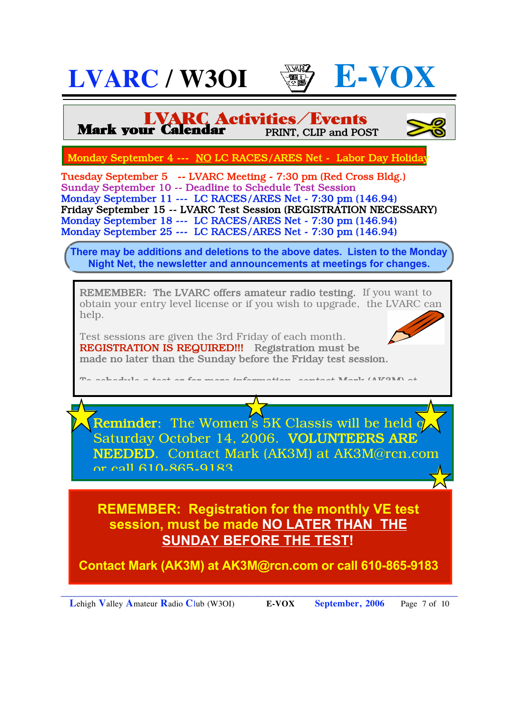





**LVARC Activities/Events** Mark your Calendar PRINT, CLIP and POST

Monday September 4 --- NO LC RACES/ARES Net - Labor Day Holida

Tuesday September 5 -- LVARC Meeting - 7:30 pm (Red Cross Bldg.) Sunday September 10 -- Deadline to Schedule Test Session Monday September 11 --- LC RACES/ARES Net - 7:30 pm (146.94) Friday September 15 -- LVARC Test Session (REGISTRATION NECESSARY) Monday September 18 --- LC RACES/ARES Net - 7:30 pm (146.94) Monday September 25 --- LC RACES/ARES Net - 7:30 pm (146.94)

**There may be additions and deletions to the above dates. Listen to the Monday Night Net, the newsletter and announcements at meetings for changes.**

REMEMBER: The LVARC offers amateur radio testing. If you want to obtain your entry level license or if you wish to upgrade, the LVARC can help.

Test sessions are given the 3rd Friday of each month. REGISTRATION IS REQUIRED!!! Registration must be made no later than the Sunday before the Friday test session.

To schedule a test or for more information, contact Mark (AK3M) at

Reminder: The Women's  $5K$  Classis will be held  $\overline{\textbf{q}}$ Saturday October 14, 2006. VOLUNTEERS ARE NEEDED. Contact Mark (AK3M) at AK3M@rcn.com or call 610-865-9183.

**REMEMBER: Registration for the monthly VE test session, must be made NO LATER THAN THE SUNDAY BEFORE THE TEST!** 

**Contact Mark (AK3M) at AK3M@rcn.com or call 610-865-9183**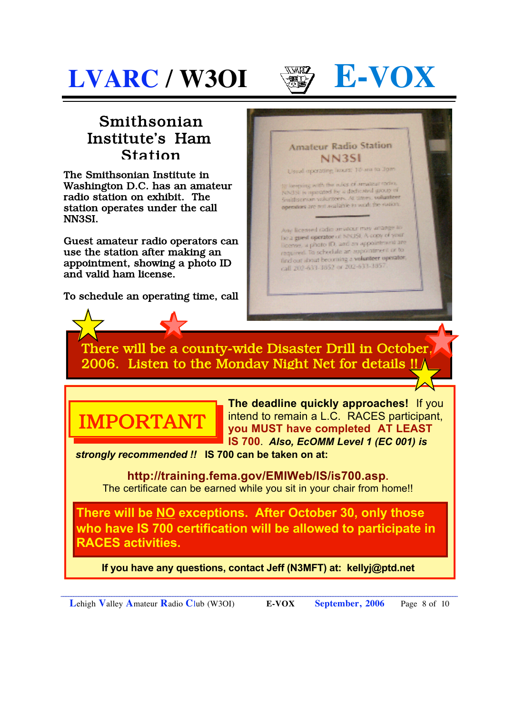



### Smithsonian Institute's Ham Station

The Smithsonian Institute in Washington D.C. has an amateur radio station on exhibit. The station operates under the call NN3SI.

Guest amateur radio operators can use the station after making an appointment, showing a photo ID and valid ham license.

To schedule an operating time, call



Any licensed radio amatour may arrange to The a guest operator of NNISI. A copy of your like a given specific ID, and an appointment are required. To schedule an appointment or to find out shout becoming a volunteer operator, call 202-633-3852 or 202-633-3857

### There will be a county-wide Disaster Drill in October, 2006. Listen to the Monday Night Net for details !!



**The deadline quickly approaches!** If you intend to remain a L.C. RACES participant, **you MUST have completed AT LEAST IS 700**. *Also, EcOMM Level 1 (EC 001) is* 

*strongly recommended !!* **IS 700 can be taken on at:** 

**http://training.fema.gov/EMIWeb/IS/is700.asp.**  The certificate can be earned while you sit in your chair from home!!

**There will be NO exceptions. After October 30, only those who have IS 700 certification will be allowed to participate in RACES activities.** 

**If you have any questions, contact Jeff (N3MFT) at: kellyj@ptd.net**

**L**ehigh **V**alley **A**mateur **R**adio **C**lub (W3OI) **E-VOX September, 2006** Page 8 of 10

\_\_\_\_\_\_\_\_\_\_\_\_\_\_\_\_\_\_\_\_\_\_\_\_\_\_\_\_\_\_\_\_\_\_\_\_\_\_\_\_\_\_\_\_\_\_\_\_\_\_\_\_\_\_\_\_\_\_\_\_\_\_\_\_\_\_\_\_\_\_\_\_\_\_\_\_\_\_\_\_\_\_\_\_\_\_\_\_\_\_\_\_\_\_\_\_\_\_\_\_\_\_\_\_\_\_\_\_\_\_\_\_\_\_\_\_\_\_\_\_\_\_\_\_\_\_\_\_\_\_\_\_\_\_\_\_\_\_\_\_\_\_\_\_\_\_\_\_\_\_\_\_\_\_\_\_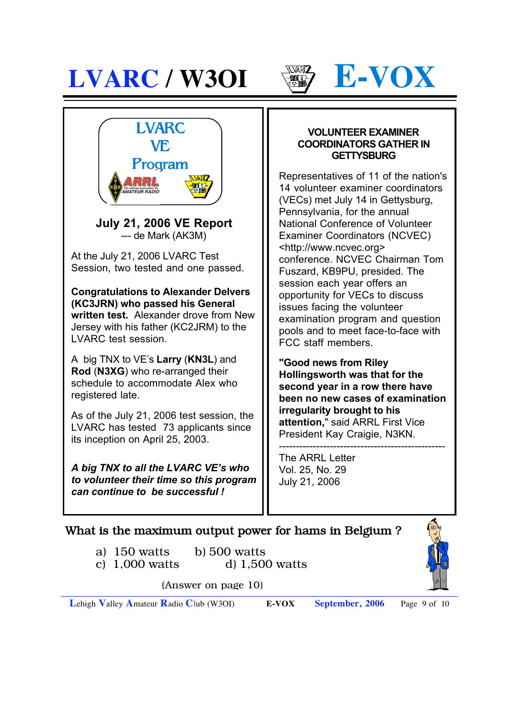





**July 21, 2006 VE Report** --- de Mark (AK3M)

At the July 21, 2006 LVARC Test Session, two tested and one passed.

**Congratulations to Alexander Delvers (KC3JRN) who passed his General written test.** Alexander drove from New Jersey with his father (KC2JRM) to the LVARC test session.

I

A big TNX to VE's **Larry** (**KN3L**) and **Rod** (**N3XG**) who re-arranged their schedule to accommodate Alex who registered late.

As of the July 21, 2006 test session, the LVARC has tested 73 applicants since its inception on April 25, 2003.

*A big TNX to all the LVARC VE's who to volunteer their time so this program can continue to be successful !*

#### **VOLUNTEER EXAMINER COORDINATORS GATHER IN GETTYSBURG**

Representatives of 11 of the nation's 14 volunteer examiner coordinators (VECs) met July 14 in Gettysburg, Pennsylvania, for the annual National Conference of Volunteer Examiner Coordinators (NCVEC) <http://www.ncvec.org> conference. NCVEC Chairman Tom Fuszard, KB9PU, presided. The session each year offers an opportunity for VECs to discuss issues facing the volunteer examination program and question pools and to meet face-to-face with FCC staff members.

**"Good news from Riley Hollingsworth was that for the second year in a row there have been no new cases of examination irregularity brought to his attention,**" said ARRL First Vice President Kay Craigie, N3KN.

------------------------------------------------- The ARRL Letter Vol. 25, No. 29 July 21, 2006

#### What is the maximum output power for hams in Belgium ?

a) 150 watts b) 500 watts



c) 1,000 watts d) 1,500 watts

(Answer on page 10)

**L**ehigh **V**alley **A**mateur **R**adio **C**lub (W3OI) **E-VOX September, 2006** Page 9 of 10

\_\_\_\_\_\_\_\_\_\_\_\_\_\_\_\_\_\_\_\_\_\_\_\_\_\_\_\_\_\_\_\_\_\_\_\_\_\_\_\_\_\_\_\_\_\_\_\_\_\_\_\_\_\_\_\_\_\_\_\_\_\_\_\_\_\_\_\_\_\_\_\_\_\_\_\_\_\_\_\_\_\_\_\_\_\_\_\_\_\_\_\_\_\_\_\_\_\_\_\_\_\_\_\_\_\_\_\_\_\_\_\_\_\_\_\_\_\_\_\_\_\_\_\_\_\_\_\_\_\_\_\_\_\_\_\_\_\_\_\_\_\_\_\_\_\_\_\_\_\_\_\_\_\_\_\_